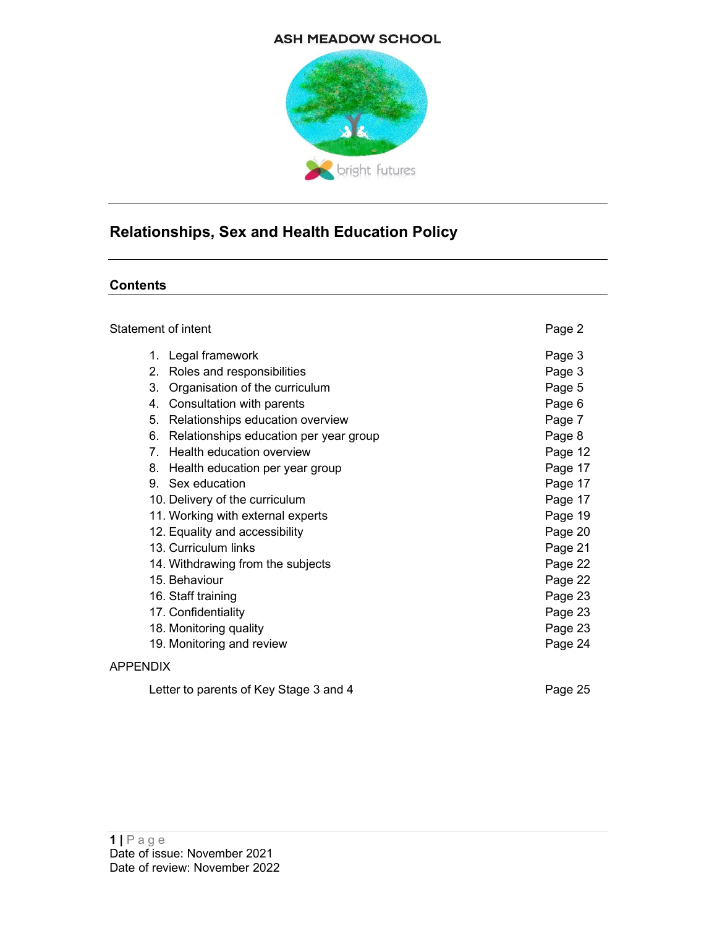#### **ASH MEADOW SCHOOL**



# Relationships, Sex and Health Education Policy

#### **Contents**

| Statement of intent                                                                                                                                                                                                                                                                                                                                                                                                                                                                                                          | Page 2                                                                                                                                                                 |
|------------------------------------------------------------------------------------------------------------------------------------------------------------------------------------------------------------------------------------------------------------------------------------------------------------------------------------------------------------------------------------------------------------------------------------------------------------------------------------------------------------------------------|------------------------------------------------------------------------------------------------------------------------------------------------------------------------|
| 1. Legal framework<br>Roles and responsibilities<br>2.<br>Organisation of the curriculum<br>3.<br>4. Consultation with parents<br>5.<br>Relationships education overview<br>6. Relationships education per year group<br>7. Health education overview<br>8. Health education per year group<br>9. Sex education<br>10. Delivery of the curriculum<br>11. Working with external experts<br>12. Equality and accessibility<br>13. Curriculum links<br>14. Withdrawing from the subjects<br>15. Behaviour<br>16. Staff training | Page 3<br>Page 3<br>Page 5<br>Page 6<br>Page 7<br>Page 8<br>Page 12<br>Page 17<br>Page 17<br>Page 17<br>Page 19<br>Page 20<br>Page 21<br>Page 22<br>Page 22<br>Page 23 |
|                                                                                                                                                                                                                                                                                                                                                                                                                                                                                                                              |                                                                                                                                                                        |
| 17. Confidentiality                                                                                                                                                                                                                                                                                                                                                                                                                                                                                                          | Page 23                                                                                                                                                                |
| 18. Monitoring quality                                                                                                                                                                                                                                                                                                                                                                                                                                                                                                       | Page 23                                                                                                                                                                |
| 19. Monitoring and review                                                                                                                                                                                                                                                                                                                                                                                                                                                                                                    | Page 24                                                                                                                                                                |
| <b>APPENDIX</b>                                                                                                                                                                                                                                                                                                                                                                                                                                                                                                              |                                                                                                                                                                        |

Letter to parents of Key Stage 3 and 4 Page 25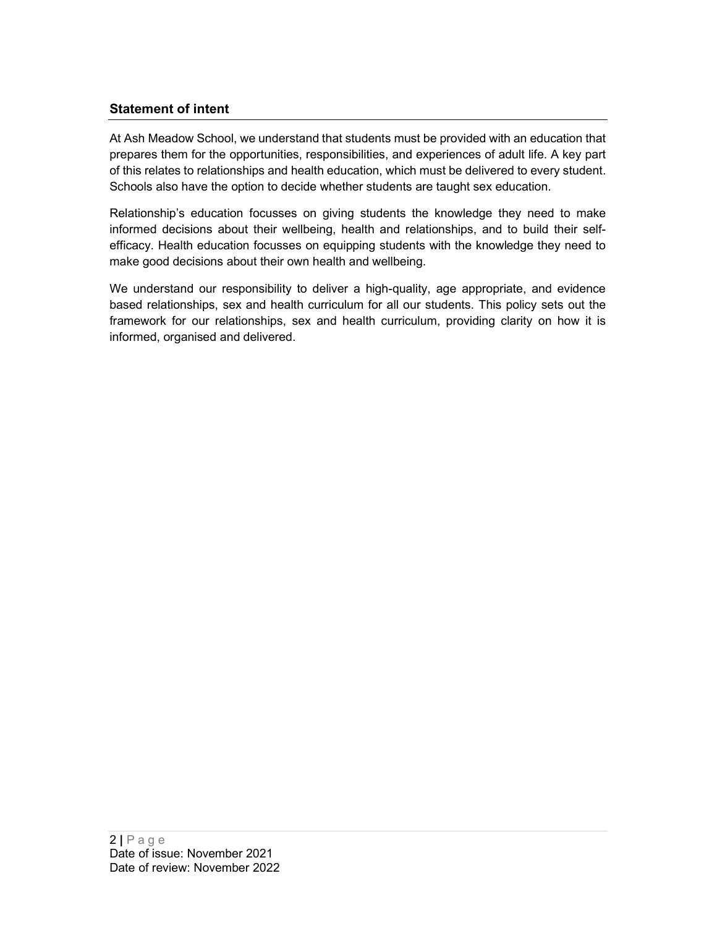# Statement of intent

At Ash Meadow School, we understand that students must be provided with an education that prepares them for the opportunities, responsibilities, and experiences of adult life. A key part of this relates to relationships and health education, which must be delivered to every student. Schools also have the option to decide whether students are taught sex education.

Relationship's education focusses on giving students the knowledge they need to make informed decisions about their wellbeing, health and relationships, and to build their selfefficacy. Health education focusses on equipping students with the knowledge they need to make good decisions about their own health and wellbeing.

We understand our responsibility to deliver a high-quality, age appropriate, and evidence based relationships, sex and health curriculum for all our students. This policy sets out the framework for our relationships, sex and health curriculum, providing clarity on how it is informed, organised and delivered.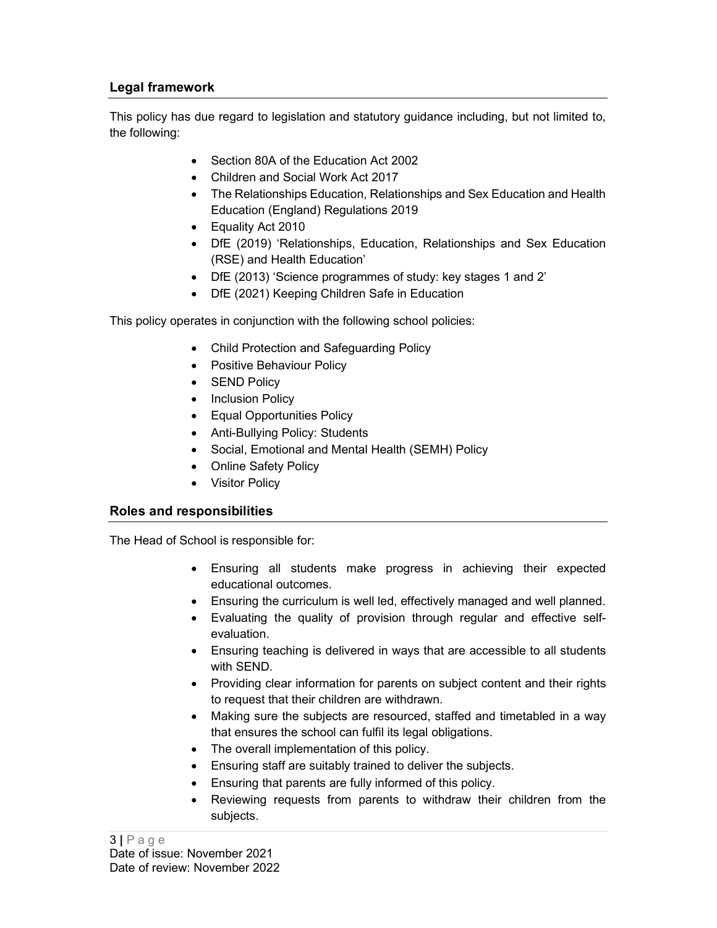# Legal framework

This policy has due regard to legislation and statutory guidance including, but not limited to, the following:

- Section 80A of the Education Act 2002
- Children and Social Work Act 2017
- The Relationships Education, Relationships and Sex Education and Health Education (England) Regulations 2019
- Equality Act 2010
- DfE (2019) 'Relationships, Education, Relationships and Sex Education (RSE) and Health Education'
- DfE (2013) 'Science programmes of study: key stages 1 and 2'
- DfE (2021) Keeping Children Safe in Education

This policy operates in conjunction with the following school policies:

- Child Protection and Safeguarding Policy
- Positive Behaviour Policy
- SEND Policy
- Inclusion Policy
- Equal Opportunities Policy
- Anti-Bullying Policy: Students
- Social, Emotional and Mental Health (SEMH) Policy
- Online Safety Policy
- Visitor Policy

#### Roles and responsibilities

The Head of School is responsible for:

- Ensuring all students make progress in achieving their expected educational outcomes.
- Ensuring the curriculum is well led, effectively managed and well planned.
- Evaluating the quality of provision through regular and effective selfevaluation.
- Ensuring teaching is delivered in ways that are accessible to all students with SEND.
- Providing clear information for parents on subject content and their rights to request that their children are withdrawn.
- Making sure the subjects are resourced, staffed and timetabled in a way that ensures the school can fulfil its legal obligations.
- The overall implementation of this policy.
- Ensuring staff are suitably trained to deliver the subjects.
- Ensuring that parents are fully informed of this policy.
- Reviewing requests from parents to withdraw their children from the subjects.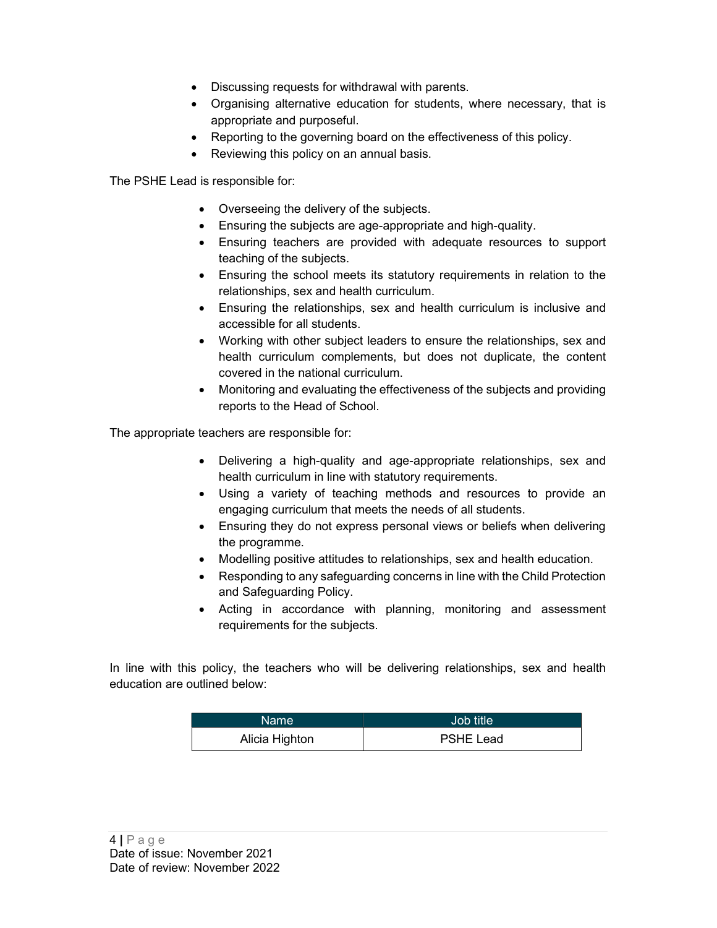- Discussing requests for withdrawal with parents.
- Organising alternative education for students, where necessary, that is appropriate and purposeful.
- Reporting to the governing board on the effectiveness of this policy.
- Reviewing this policy on an annual basis.

The PSHE Lead is responsible for:

- Overseeing the delivery of the subjects.
- Ensuring the subjects are age-appropriate and high-quality.
- Ensuring teachers are provided with adequate resources to support teaching of the subjects.
- Ensuring the school meets its statutory requirements in relation to the relationships, sex and health curriculum.
- Ensuring the relationships, sex and health curriculum is inclusive and accessible for all students.
- Working with other subject leaders to ensure the relationships, sex and health curriculum complements, but does not duplicate, the content covered in the national curriculum.
- Monitoring and evaluating the effectiveness of the subjects and providing reports to the Head of School.

The appropriate teachers are responsible for:

- Delivering a high-quality and age-appropriate relationships, sex and health curriculum in line with statutory requirements.
- Using a variety of teaching methods and resources to provide an engaging curriculum that meets the needs of all students.
- Ensuring they do not express personal views or beliefs when delivering the programme.
- Modelling positive attitudes to relationships, sex and health education.
- Responding to any safeguarding concerns in line with the Child Protection and Safeguarding Policy.
- Acting in accordance with planning, monitoring and assessment requirements for the subjects.

In line with this policy, the teachers who will be delivering relationships, sex and health education are outlined below:

| Name           | Job title        |
|----------------|------------------|
| Alicia Highton | <b>PSHE Lead</b> |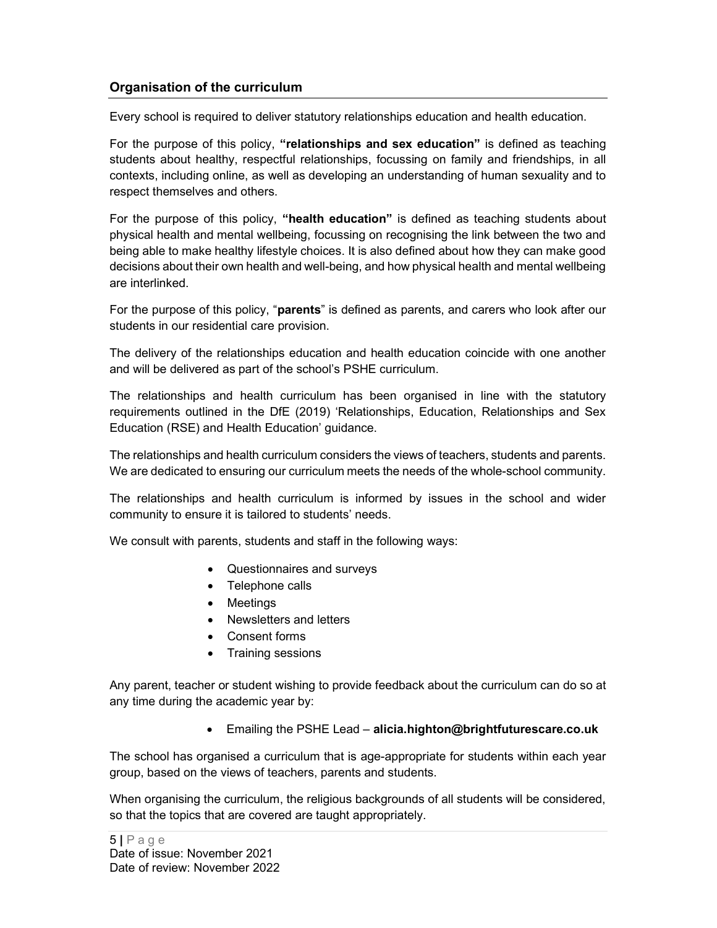# Organisation of the curriculum

Every school is required to deliver statutory relationships education and health education.

For the purpose of this policy, "relationships and sex education" is defined as teaching students about healthy, respectful relationships, focussing on family and friendships, in all contexts, including online, as well as developing an understanding of human sexuality and to respect themselves and others.

For the purpose of this policy, "health education" is defined as teaching students about physical health and mental wellbeing, focussing on recognising the link between the two and being able to make healthy lifestyle choices. It is also defined about how they can make good decisions about their own health and well-being, and how physical health and mental wellbeing are interlinked.

For the purpose of this policy, "parents" is defined as parents, and carers who look after our students in our residential care provision.

The delivery of the relationships education and health education coincide with one another and will be delivered as part of the school's PSHE curriculum.

The relationships and health curriculum has been organised in line with the statutory requirements outlined in the DfE (2019) 'Relationships, Education, Relationships and Sex Education (RSE) and Health Education' guidance.

The relationships and health curriculum considers the views of teachers, students and parents. We are dedicated to ensuring our curriculum meets the needs of the whole-school community.

The relationships and health curriculum is informed by issues in the school and wider community to ensure it is tailored to students' needs.

We consult with parents, students and staff in the following ways:

- Questionnaires and surveys
- Telephone calls
- Meetings
- Newsletters and letters
- Consent forms
- Training sessions

Any parent, teacher or student wishing to provide feedback about the curriculum can do so at any time during the academic year by:

Emailing the PSHE Lead – alicia.highton@brightfuturescare.co.uk

The school has organised a curriculum that is age-appropriate for students within each year group, based on the views of teachers, parents and students.

When organising the curriculum, the religious backgrounds of all students will be considered, so that the topics that are covered are taught appropriately.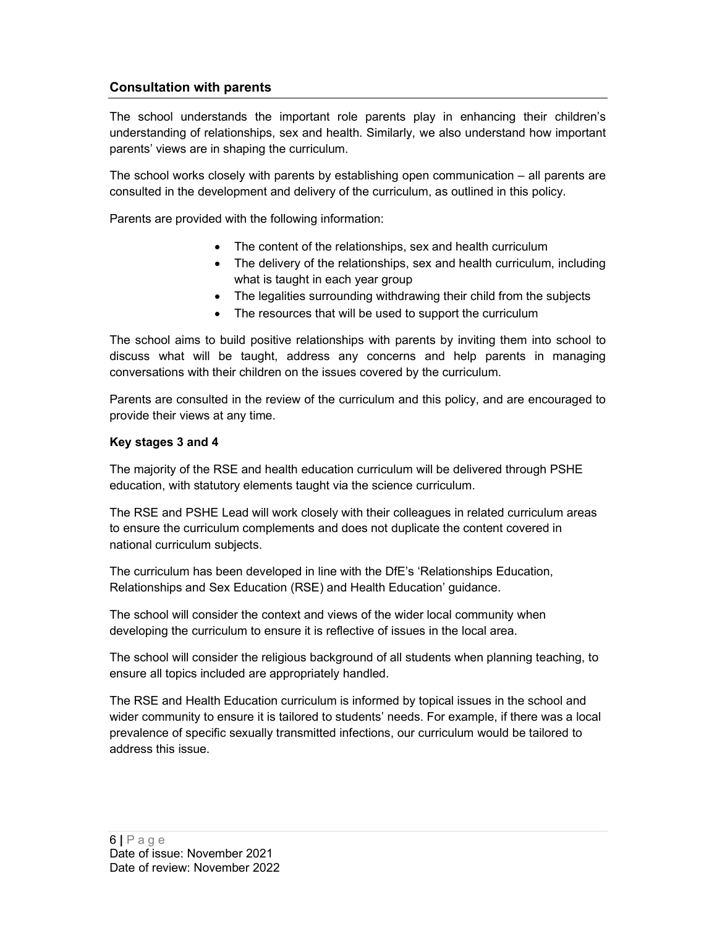# Consultation with parents

The school understands the important role parents play in enhancing their children's understanding of relationships, sex and health. Similarly, we also understand how important parents' views are in shaping the curriculum.

The school works closely with parents by establishing open communication – all parents are consulted in the development and delivery of the curriculum, as outlined in this policy.

Parents are provided with the following information:

- The content of the relationships, sex and health curriculum
- The delivery of the relationships, sex and health curriculum, including what is taught in each year group
- The legalities surrounding withdrawing their child from the subjects
- The resources that will be used to support the curriculum

The school aims to build positive relationships with parents by inviting them into school to discuss what will be taught, address any concerns and help parents in managing conversations with their children on the issues covered by the curriculum.

Parents are consulted in the review of the curriculum and this policy, and are encouraged to provide their views at any time.

#### Key stages 3 and 4

The majority of the RSE and health education curriculum will be delivered through PSHE education, with statutory elements taught via the science curriculum.

The RSE and PSHE Lead will work closely with their colleagues in related curriculum areas to ensure the curriculum complements and does not duplicate the content covered in national curriculum subjects.

The curriculum has been developed in line with the DfE's 'Relationships Education, Relationships and Sex Education (RSE) and Health Education' guidance.

The school will consider the context and views of the wider local community when developing the curriculum to ensure it is reflective of issues in the local area.

The school will consider the religious background of all students when planning teaching, to ensure all topics included are appropriately handled.

The RSE and Health Education curriculum is informed by topical issues in the school and wider community to ensure it is tailored to students' needs. For example, if there was a local prevalence of specific sexually transmitted infections, our curriculum would be tailored to address this issue.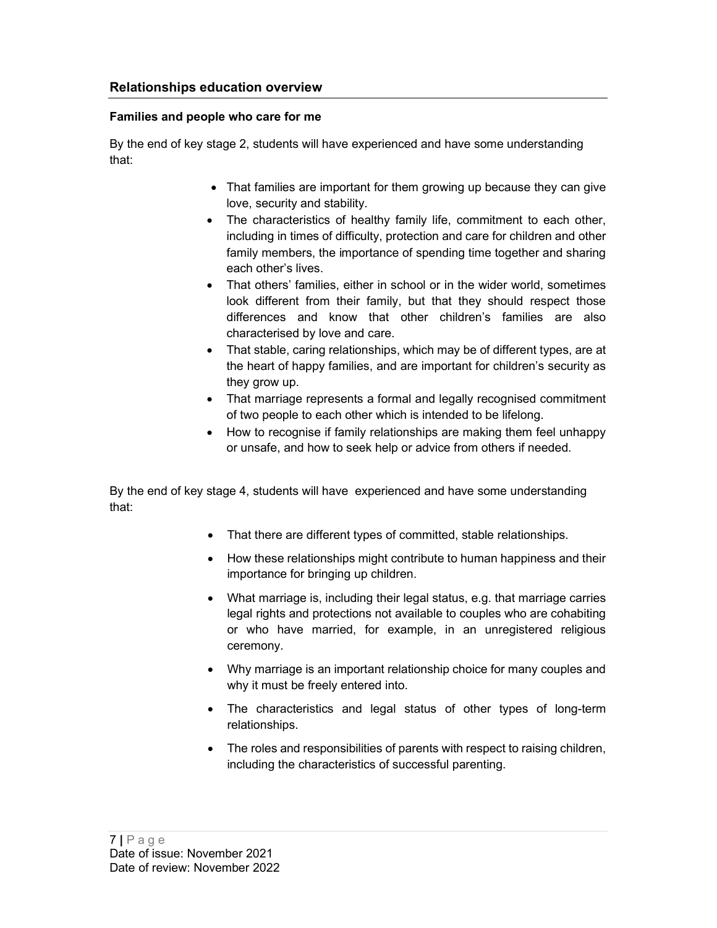#### Families and people who care for me

By the end of key stage 2, students will have experienced and have some understanding that:

- That families are important for them growing up because they can give love, security and stability.
- The characteristics of healthy family life, commitment to each other, including in times of difficulty, protection and care for children and other family members, the importance of spending time together and sharing each other's lives.
- That others' families, either in school or in the wider world, sometimes look different from their family, but that they should respect those differences and know that other children's families are also characterised by love and care.
- That stable, caring relationships, which may be of different types, are at the heart of happy families, and are important for children's security as they grow up.
- That marriage represents a formal and legally recognised commitment of two people to each other which is intended to be lifelong.
- How to recognise if family relationships are making them feel unhappy or unsafe, and how to seek help or advice from others if needed.

By the end of key stage 4, students will have experienced and have some understanding that:

- That there are different types of committed, stable relationships.
- How these relationships might contribute to human happiness and their importance for bringing up children.
- What marriage is, including their legal status, e.g. that marriage carries legal rights and protections not available to couples who are cohabiting or who have married, for example, in an unregistered religious ceremony.
- Why marriage is an important relationship choice for many couples and why it must be freely entered into.
- The characteristics and legal status of other types of long-term relationships.
- The roles and responsibilities of parents with respect to raising children, including the characteristics of successful parenting.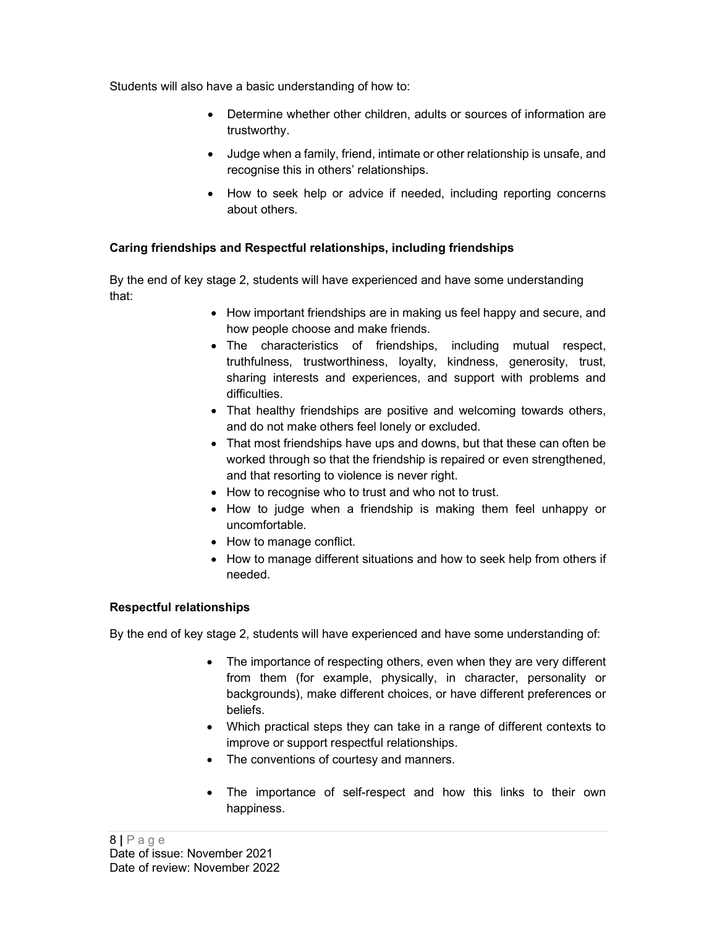Students will also have a basic understanding of how to:

- Determine whether other children, adults or sources of information are trustworthy.
- Judge when a family, friend, intimate or other relationship is unsafe, and recognise this in others' relationships.
- How to seek help or advice if needed, including reporting concerns about others.

## Caring friendships and Respectful relationships, including friendships

By the end of key stage 2, students will have experienced and have some understanding that:

- How important friendships are in making us feel happy and secure, and how people choose and make friends.
- The characteristics of friendships, including mutual respect, truthfulness, trustworthiness, loyalty, kindness, generosity, trust, sharing interests and experiences, and support with problems and difficulties.
- That healthy friendships are positive and welcoming towards others, and do not make others feel lonely or excluded.
- That most friendships have ups and downs, but that these can often be worked through so that the friendship is repaired or even strengthened, and that resorting to violence is never right.
- How to recognise who to trust and who not to trust.
- How to judge when a friendship is making them feel unhappy or uncomfortable.
- How to manage conflict.
- How to manage different situations and how to seek help from others if needed.

#### Respectful relationships

By the end of key stage 2, students will have experienced and have some understanding of:

- The importance of respecting others, even when they are very different from them (for example, physically, in character, personality or backgrounds), make different choices, or have different preferences or beliefs.
- Which practical steps they can take in a range of different contexts to improve or support respectful relationships.
- The conventions of courtesy and manners.
- The importance of self-respect and how this links to their own happiness.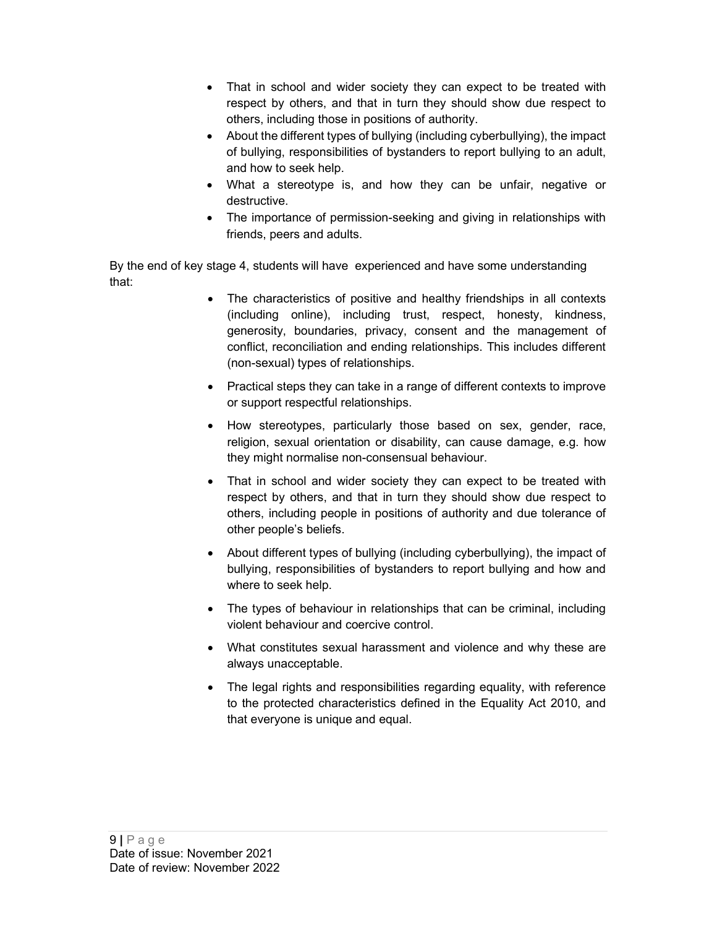- That in school and wider society they can expect to be treated with respect by others, and that in turn they should show due respect to others, including those in positions of authority.
- About the different types of bullying (including cyberbullying), the impact of bullying, responsibilities of bystanders to report bullying to an adult, and how to seek help.
- What a stereotype is, and how they can be unfair, negative or destructive.
- The importance of permission-seeking and giving in relationships with friends, peers and adults.

By the end of key stage 4, students will have experienced and have some understanding that:

- The characteristics of positive and healthy friendships in all contexts (including online), including trust, respect, honesty, kindness, generosity, boundaries, privacy, consent and the management of conflict, reconciliation and ending relationships. This includes different (non-sexual) types of relationships.
- Practical steps they can take in a range of different contexts to improve or support respectful relationships.
- How stereotypes, particularly those based on sex, gender, race, religion, sexual orientation or disability, can cause damage, e.g. how they might normalise non-consensual behaviour.
- That in school and wider society they can expect to be treated with respect by others, and that in turn they should show due respect to others, including people in positions of authority and due tolerance of other people's beliefs.
- About different types of bullying (including cyberbullying), the impact of bullying, responsibilities of bystanders to report bullying and how and where to seek help.
- The types of behaviour in relationships that can be criminal, including violent behaviour and coercive control.
- What constitutes sexual harassment and violence and why these are always unacceptable.
- The legal rights and responsibilities regarding equality, with reference to the protected characteristics defined in the Equality Act 2010, and that everyone is unique and equal.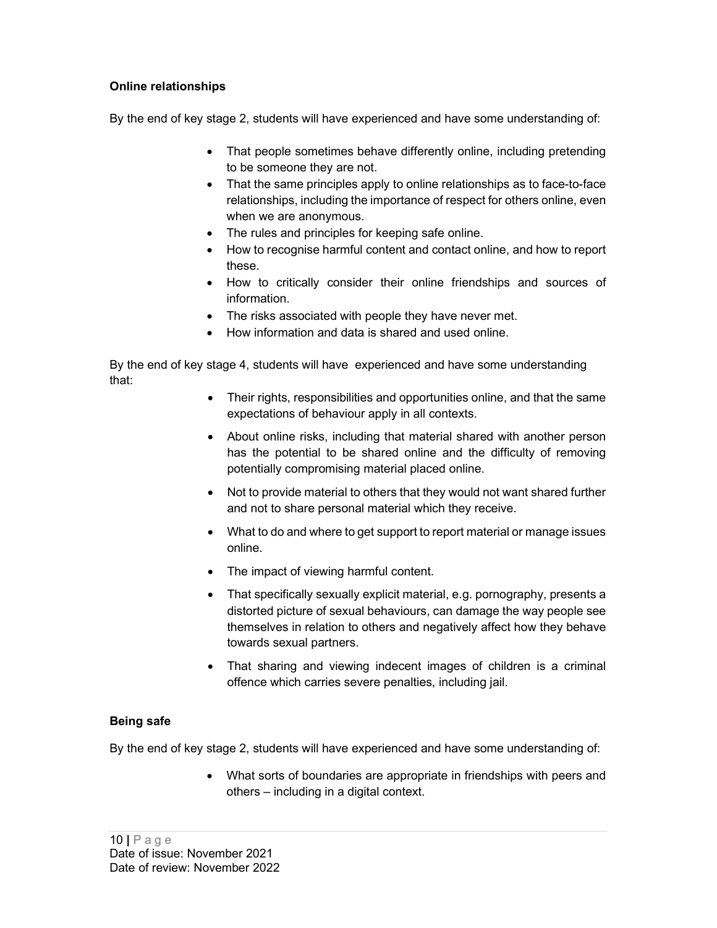#### Online relationships

By the end of key stage 2, students will have experienced and have some understanding of:

- That people sometimes behave differently online, including pretending to be someone they are not.
- That the same principles apply to online relationships as to face-to-face relationships, including the importance of respect for others online, even when we are anonymous.
- The rules and principles for keeping safe online.
- How to recognise harmful content and contact online, and how to report these.
- How to critically consider their online friendships and sources of information.
- The risks associated with people they have never met.
- How information and data is shared and used online.

By the end of key stage 4, students will have experienced and have some understanding that:

- Their rights, responsibilities and opportunities online, and that the same expectations of behaviour apply in all contexts.
- About online risks, including that material shared with another person has the potential to be shared online and the difficulty of removing potentially compromising material placed online.
- Not to provide material to others that they would not want shared further and not to share personal material which they receive.
- What to do and where to get support to report material or manage issues online.
- The impact of viewing harmful content.
- That specifically sexually explicit material, e.g. pornography, presents a distorted picture of sexual behaviours, can damage the way people see themselves in relation to others and negatively affect how they behave towards sexual partners.
- That sharing and viewing indecent images of children is a criminal offence which carries severe penalties, including jail.

#### Being safe

By the end of key stage 2, students will have experienced and have some understanding of:

 What sorts of boundaries are appropriate in friendships with peers and others – including in a digital context.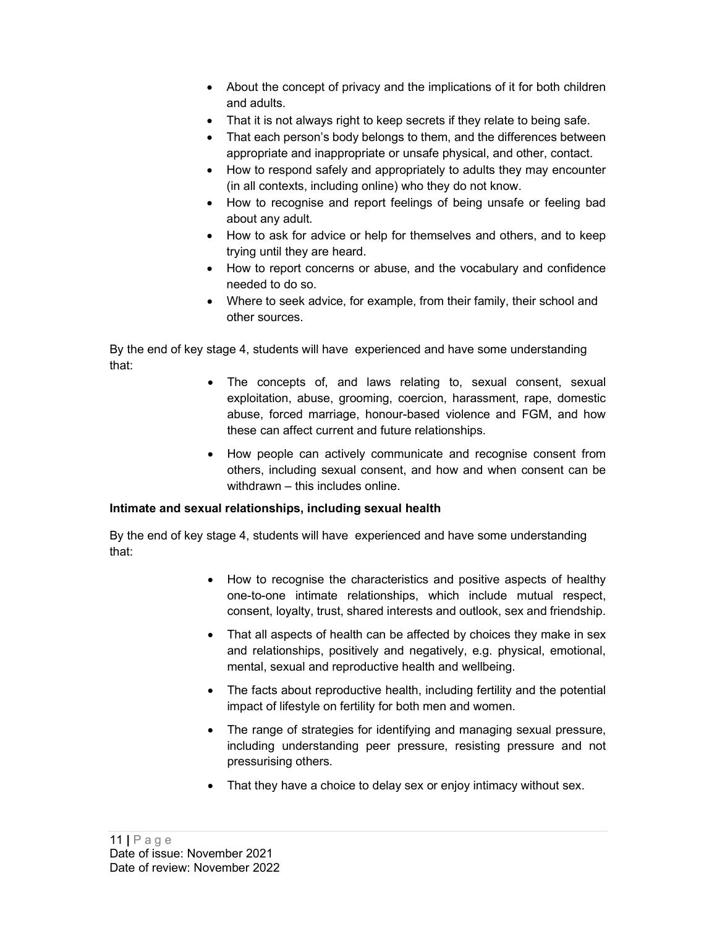- About the concept of privacy and the implications of it for both children and adults.
- That it is not always right to keep secrets if they relate to being safe.
- That each person's body belongs to them, and the differences between appropriate and inappropriate or unsafe physical, and other, contact.
- How to respond safely and appropriately to adults they may encounter (in all contexts, including online) who they do not know.
- How to recognise and report feelings of being unsafe or feeling bad about any adult.
- How to ask for advice or help for themselves and others, and to keep trying until they are heard.
- How to report concerns or abuse, and the vocabulary and confidence needed to do so.
- Where to seek advice, for example, from their family, their school and other sources.

By the end of key stage 4, students will have experienced and have some understanding that:

- The concepts of, and laws relating to, sexual consent, sexual exploitation, abuse, grooming, coercion, harassment, rape, domestic abuse, forced marriage, honour-based violence and FGM, and how these can affect current and future relationships.
- How people can actively communicate and recognise consent from others, including sexual consent, and how and when consent can be withdrawn – this includes online.

#### Intimate and sexual relationships, including sexual health

By the end of key stage 4, students will have experienced and have some understanding that:

- How to recognise the characteristics and positive aspects of healthy one-to-one intimate relationships, which include mutual respect, consent, loyalty, trust, shared interests and outlook, sex and friendship.
- That all aspects of health can be affected by choices they make in sex and relationships, positively and negatively, e.g. physical, emotional, mental, sexual and reproductive health and wellbeing.
- The facts about reproductive health, including fertility and the potential impact of lifestyle on fertility for both men and women.
- The range of strategies for identifying and managing sexual pressure, including understanding peer pressure, resisting pressure and not pressurising others.
- That they have a choice to delay sex or enjoy intimacy without sex.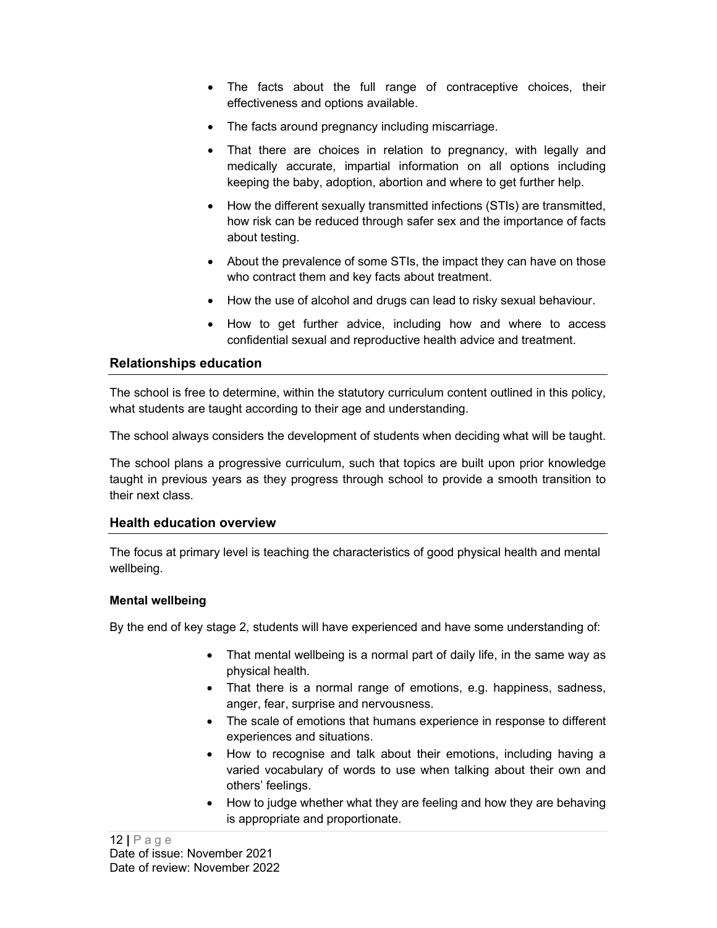- The facts about the full range of contraceptive choices, their effectiveness and options available.
- The facts around pregnancy including miscarriage.
- That there are choices in relation to pregnancy, with legally and medically accurate, impartial information on all options including keeping the baby, adoption, abortion and where to get further help.
- How the different sexually transmitted infections (STIs) are transmitted, how risk can be reduced through safer sex and the importance of facts about testing.
- About the prevalence of some STIs, the impact they can have on those who contract them and key facts about treatment.
- How the use of alcohol and drugs can lead to risky sexual behaviour.
- How to get further advice, including how and where to access confidential sexual and reproductive health advice and treatment.

## Relationships education

The school is free to determine, within the statutory curriculum content outlined in this policy, what students are taught according to their age and understanding.

The school always considers the development of students when deciding what will be taught.

The school plans a progressive curriculum, such that topics are built upon prior knowledge taught in previous years as they progress through school to provide a smooth transition to their next class.

#### Health education overview

The focus at primary level is teaching the characteristics of good physical health and mental wellbeing.

#### Mental wellbeing

By the end of key stage 2, students will have experienced and have some understanding of:

- That mental wellbeing is a normal part of daily life, in the same way as physical health.
- That there is a normal range of emotions, e.g. happiness, sadness, anger, fear, surprise and nervousness.
- The scale of emotions that humans experience in response to different experiences and situations.
- How to recognise and talk about their emotions, including having a varied vocabulary of words to use when talking about their own and others' feelings.
- How to judge whether what they are feeling and how they are behaving is appropriate and proportionate.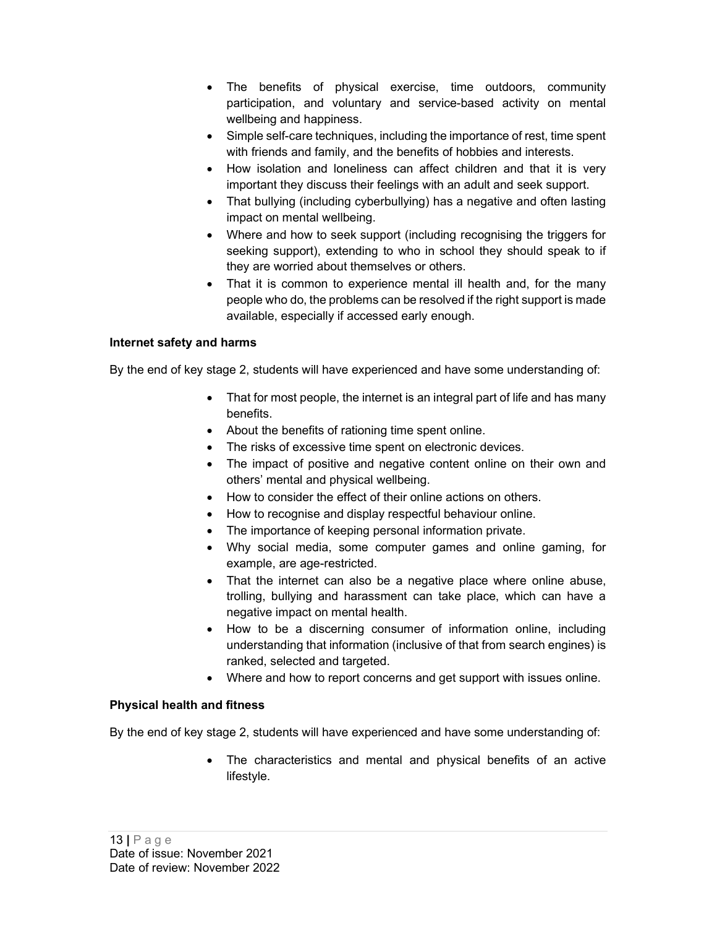- The benefits of physical exercise, time outdoors, community participation, and voluntary and service-based activity on mental wellbeing and happiness.
- Simple self-care techniques, including the importance of rest, time spent with friends and family, and the benefits of hobbies and interests.
- How isolation and loneliness can affect children and that it is very important they discuss their feelings with an adult and seek support.
- That bullying (including cyberbullying) has a negative and often lasting impact on mental wellbeing.
- Where and how to seek support (including recognising the triggers for seeking support), extending to who in school they should speak to if they are worried about themselves or others.
- That it is common to experience mental ill health and, for the many people who do, the problems can be resolved if the right support is made available, especially if accessed early enough.

#### Internet safety and harms

By the end of key stage 2, students will have experienced and have some understanding of:

- That for most people, the internet is an integral part of life and has many benefits.
- About the benefits of rationing time spent online.
- The risks of excessive time spent on electronic devices.
- The impact of positive and negative content online on their own and others' mental and physical wellbeing.
- How to consider the effect of their online actions on others.
- How to recognise and display respectful behaviour online.
- The importance of keeping personal information private.
- Why social media, some computer games and online gaming, for example, are age-restricted.
- That the internet can also be a negative place where online abuse, trolling, bullying and harassment can take place, which can have a negative impact on mental health.
- How to be a discerning consumer of information online, including understanding that information (inclusive of that from search engines) is ranked, selected and targeted.
- Where and how to report concerns and get support with issues online.

#### Physical health and fitness

By the end of key stage 2, students will have experienced and have some understanding of:

 The characteristics and mental and physical benefits of an active lifestyle.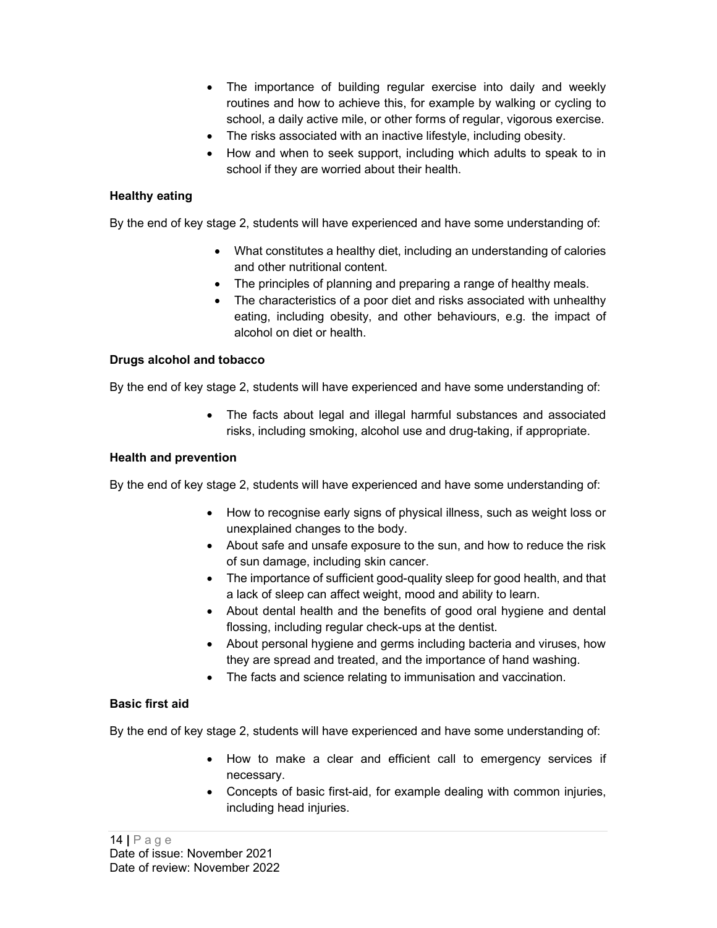- The importance of building regular exercise into daily and weekly routines and how to achieve this, for example by walking or cycling to school, a daily active mile, or other forms of regular, vigorous exercise.
- The risks associated with an inactive lifestyle, including obesity.
- How and when to seek support, including which adults to speak to in school if they are worried about their health.

#### Healthy eating

By the end of key stage 2, students will have experienced and have some understanding of:

- What constitutes a healthy diet, including an understanding of calories and other nutritional content.
- The principles of planning and preparing a range of healthy meals.
- The characteristics of a poor diet and risks associated with unhealthy eating, including obesity, and other behaviours, e.g. the impact of alcohol on diet or health.

#### Drugs alcohol and tobacco

By the end of key stage 2, students will have experienced and have some understanding of:

 The facts about legal and illegal harmful substances and associated risks, including smoking, alcohol use and drug-taking, if appropriate.

#### Health and prevention

By the end of key stage 2, students will have experienced and have some understanding of:

- How to recognise early signs of physical illness, such as weight loss or unexplained changes to the body.
- About safe and unsafe exposure to the sun, and how to reduce the risk of sun damage, including skin cancer.
- The importance of sufficient good-quality sleep for good health, and that a lack of sleep can affect weight, mood and ability to learn.
- About dental health and the benefits of good oral hygiene and dental flossing, including regular check-ups at the dentist.
- About personal hygiene and germs including bacteria and viruses, how they are spread and treated, and the importance of hand washing.
- The facts and science relating to immunisation and vaccination.

#### Basic first aid

By the end of key stage 2, students will have experienced and have some understanding of:

- How to make a clear and efficient call to emergency services if necessary.
- Concepts of basic first-aid, for example dealing with common injuries, including head injuries.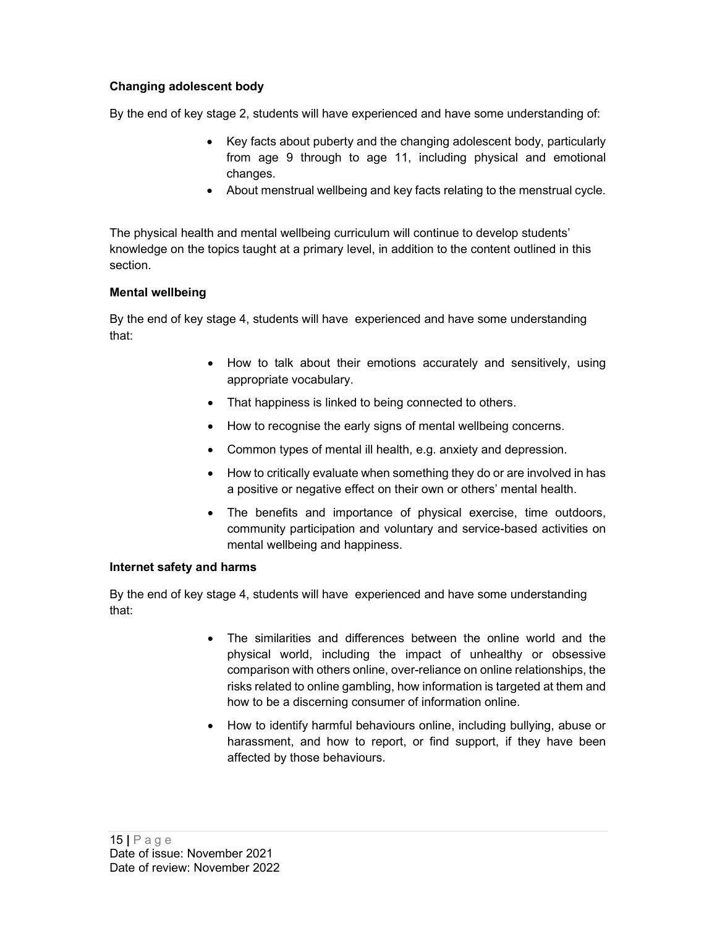## Changing adolescent body

By the end of key stage 2, students will have experienced and have some understanding of:

- Key facts about puberty and the changing adolescent body, particularly from age 9 through to age 11, including physical and emotional changes.
- About menstrual wellbeing and key facts relating to the menstrual cycle.

The physical health and mental wellbeing curriculum will continue to develop students' knowledge on the topics taught at a primary level, in addition to the content outlined in this section.

#### Mental wellbeing

By the end of key stage 4, students will have experienced and have some understanding that:

- How to talk about their emotions accurately and sensitively, using appropriate vocabulary.
- That happiness is linked to being connected to others.
- How to recognise the early signs of mental wellbeing concerns.
- Common types of mental ill health, e.g. anxiety and depression.
- How to critically evaluate when something they do or are involved in has a positive or negative effect on their own or others' mental health.
- The benefits and importance of physical exercise, time outdoors, community participation and voluntary and service-based activities on mental wellbeing and happiness.

#### Internet safety and harms

By the end of key stage 4, students will have experienced and have some understanding that:

- The similarities and differences between the online world and the physical world, including the impact of unhealthy or obsessive comparison with others online, over-reliance on online relationships, the risks related to online gambling, how information is targeted at them and how to be a discerning consumer of information online.
- How to identify harmful behaviours online, including bullying, abuse or harassment, and how to report, or find support, if they have been affected by those behaviours.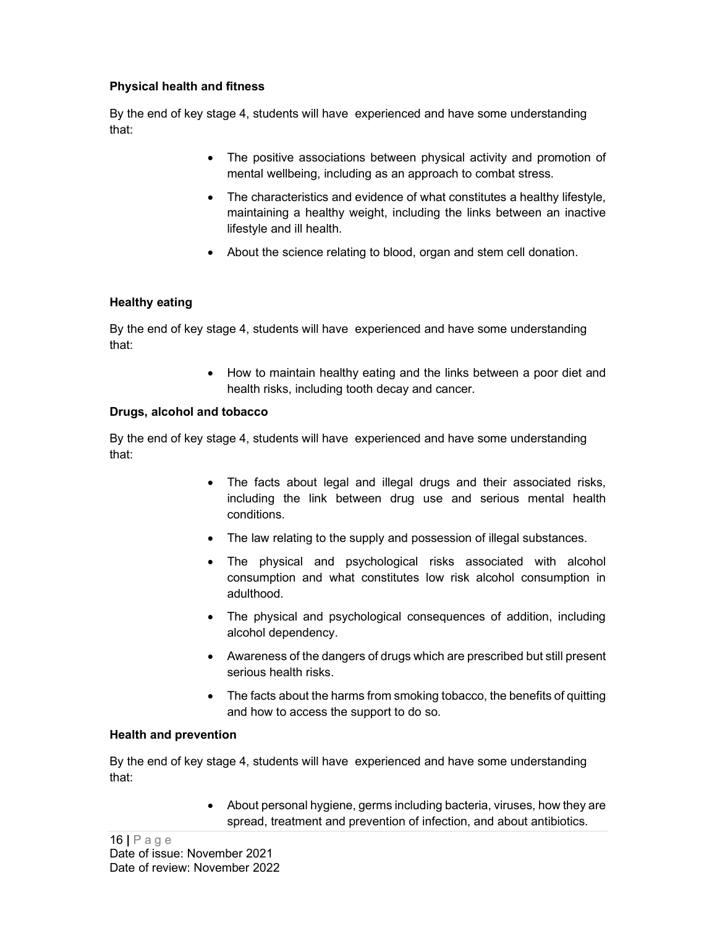#### Physical health and fitness

By the end of key stage 4, students will have experienced and have some understanding that:

- The positive associations between physical activity and promotion of mental wellbeing, including as an approach to combat stress.
- The characteristics and evidence of what constitutes a healthy lifestyle, maintaining a healthy weight, including the links between an inactive lifestyle and ill health.
- About the science relating to blood, organ and stem cell donation.

#### Healthy eating

By the end of key stage 4, students will have experienced and have some understanding that:

> How to maintain healthy eating and the links between a poor diet and health risks, including tooth decay and cancer.

#### Drugs, alcohol and tobacco

By the end of key stage 4, students will have experienced and have some understanding that:

- The facts about legal and illegal drugs and their associated risks, including the link between drug use and serious mental health conditions.
- The law relating to the supply and possession of illegal substances.
- The physical and psychological risks associated with alcohol consumption and what constitutes low risk alcohol consumption in adulthood.
- The physical and psychological consequences of addition, including alcohol dependency.
- Awareness of the dangers of drugs which are prescribed but still present serious health risks.
- The facts about the harms from smoking tobacco, the benefits of quitting and how to access the support to do so.

#### Health and prevention

By the end of key stage 4, students will have experienced and have some understanding that:

> About personal hygiene, germs including bacteria, viruses, how they are spread, treatment and prevention of infection, and about antibiotics.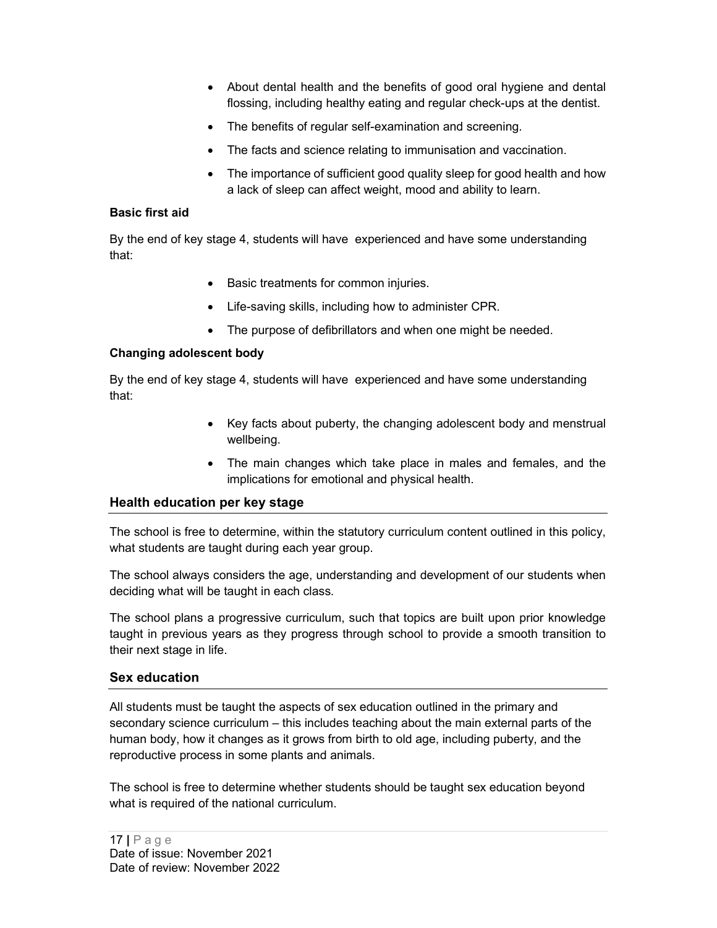- About dental health and the benefits of good oral hygiene and dental flossing, including healthy eating and regular check-ups at the dentist.
- The benefits of regular self-examination and screening.
- The facts and science relating to immunisation and vaccination.
- The importance of sufficient good quality sleep for good health and how a lack of sleep can affect weight, mood and ability to learn.

#### Basic first aid

By the end of key stage 4, students will have experienced and have some understanding that:

- Basic treatments for common injuries.
- Life-saving skills, including how to administer CPR.
- The purpose of defibrillators and when one might be needed.

#### Changing adolescent body

By the end of key stage 4, students will have experienced and have some understanding that:

- Key facts about puberty, the changing adolescent body and menstrual wellbeing.
- The main changes which take place in males and females, and the implications for emotional and physical health.

#### Health education per key stage

The school is free to determine, within the statutory curriculum content outlined in this policy, what students are taught during each year group.

The school always considers the age, understanding and development of our students when deciding what will be taught in each class.

The school plans a progressive curriculum, such that topics are built upon prior knowledge taught in previous years as they progress through school to provide a smooth transition to their next stage in life.

#### Sex education

All students must be taught the aspects of sex education outlined in the primary and secondary science curriculum – this includes teaching about the main external parts of the human body, how it changes as it grows from birth to old age, including puberty, and the reproductive process in some plants and animals.

The school is free to determine whether students should be taught sex education beyond what is required of the national curriculum.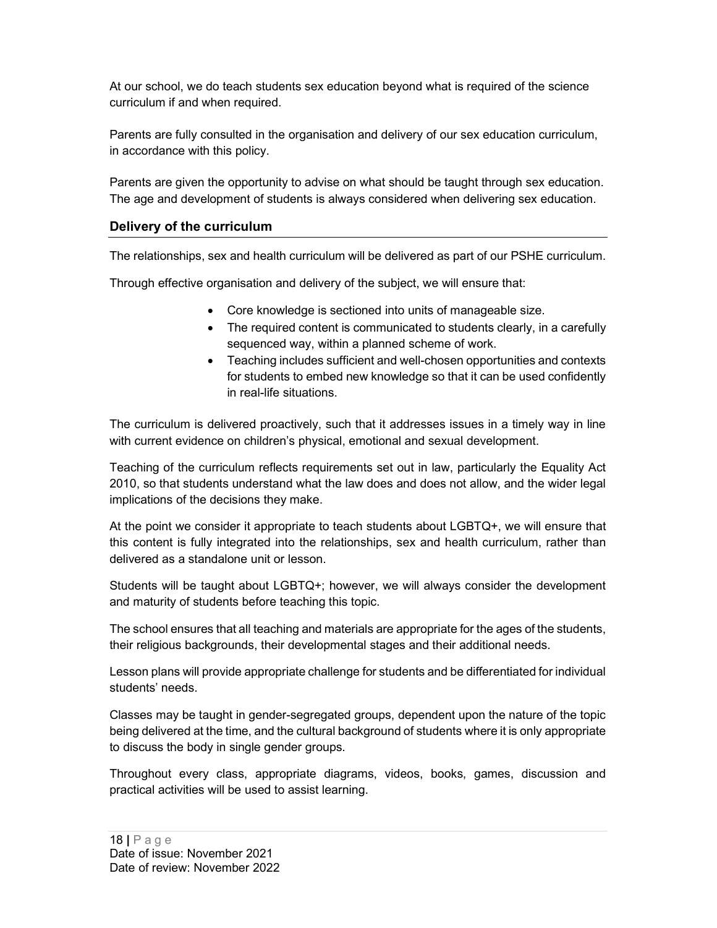At our school, we do teach students sex education beyond what is required of the science curriculum if and when required.

Parents are fully consulted in the organisation and delivery of our sex education curriculum, in accordance with this policy.

Parents are given the opportunity to advise on what should be taught through sex education. The age and development of students is always considered when delivering sex education.

## Delivery of the curriculum

The relationships, sex and health curriculum will be delivered as part of our PSHE curriculum.

Through effective organisation and delivery of the subject, we will ensure that:

- Core knowledge is sectioned into units of manageable size.
- The required content is communicated to students clearly, in a carefully sequenced way, within a planned scheme of work.
- Teaching includes sufficient and well-chosen opportunities and contexts for students to embed new knowledge so that it can be used confidently in real-life situations.

The curriculum is delivered proactively, such that it addresses issues in a timely way in line with current evidence on children's physical, emotional and sexual development.

Teaching of the curriculum reflects requirements set out in law, particularly the Equality Act 2010, so that students understand what the law does and does not allow, and the wider legal implications of the decisions they make.

At the point we consider it appropriate to teach students about LGBTQ+, we will ensure that this content is fully integrated into the relationships, sex and health curriculum, rather than delivered as a standalone unit or lesson.

Students will be taught about LGBTQ+; however, we will always consider the development and maturity of students before teaching this topic.

The school ensures that all teaching and materials are appropriate for the ages of the students, their religious backgrounds, their developmental stages and their additional needs.

Lesson plans will provide appropriate challenge for students and be differentiated for individual students' needs.

Classes may be taught in gender-segregated groups, dependent upon the nature of the topic being delivered at the time, and the cultural background of students where it is only appropriate to discuss the body in single gender groups.

Throughout every class, appropriate diagrams, videos, books, games, discussion and practical activities will be used to assist learning.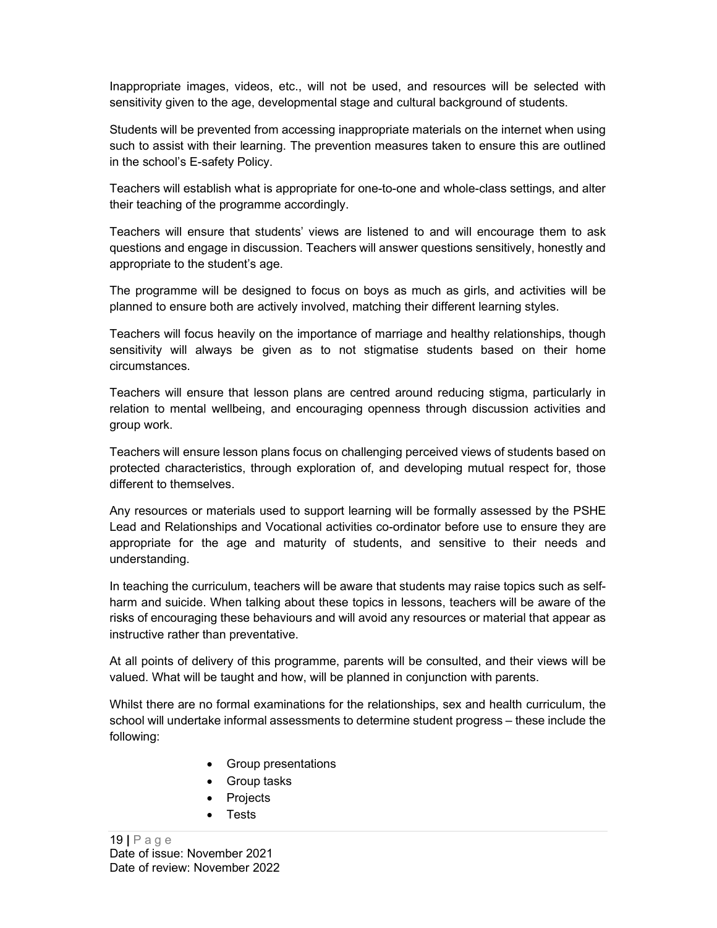Inappropriate images, videos, etc., will not be used, and resources will be selected with sensitivity given to the age, developmental stage and cultural background of students.

Students will be prevented from accessing inappropriate materials on the internet when using such to assist with their learning. The prevention measures taken to ensure this are outlined in the school's E-safety Policy.

Teachers will establish what is appropriate for one-to-one and whole-class settings, and alter their teaching of the programme accordingly.

Teachers will ensure that students' views are listened to and will encourage them to ask questions and engage in discussion. Teachers will answer questions sensitively, honestly and appropriate to the student's age.

The programme will be designed to focus on boys as much as girls, and activities will be planned to ensure both are actively involved, matching their different learning styles.

Teachers will focus heavily on the importance of marriage and healthy relationships, though sensitivity will always be given as to not stigmatise students based on their home circumstances.

Teachers will ensure that lesson plans are centred around reducing stigma, particularly in relation to mental wellbeing, and encouraging openness through discussion activities and group work.

Teachers will ensure lesson plans focus on challenging perceived views of students based on protected characteristics, through exploration of, and developing mutual respect for, those different to themselves.

Any resources or materials used to support learning will be formally assessed by the PSHE Lead and Relationships and Vocational activities co-ordinator before use to ensure they are appropriate for the age and maturity of students, and sensitive to their needs and understanding.

In teaching the curriculum, teachers will be aware that students may raise topics such as selfharm and suicide. When talking about these topics in lessons, teachers will be aware of the risks of encouraging these behaviours and will avoid any resources or material that appear as instructive rather than preventative.

At all points of delivery of this programme, parents will be consulted, and their views will be valued. What will be taught and how, will be planned in conjunction with parents.

Whilst there are no formal examinations for the relationships, sex and health curriculum, the school will undertake informal assessments to determine student progress – these include the following:

- Group presentations
- Group tasks
- Projects
- Tests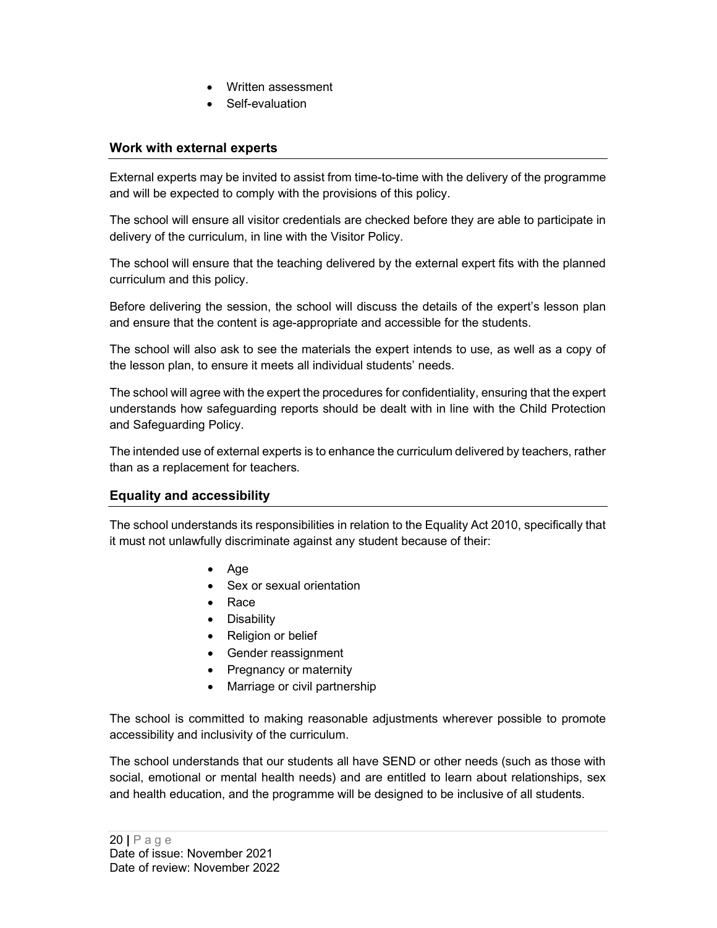- Written assessment
- Self-evaluation

# Work with external experts

External experts may be invited to assist from time-to-time with the delivery of the programme and will be expected to comply with the provisions of this policy.

The school will ensure all visitor credentials are checked before they are able to participate in delivery of the curriculum, in line with the Visitor Policy.

The school will ensure that the teaching delivered by the external expert fits with the planned curriculum and this policy.

Before delivering the session, the school will discuss the details of the expert's lesson plan and ensure that the content is age-appropriate and accessible for the students.

The school will also ask to see the materials the expert intends to use, as well as a copy of the lesson plan, to ensure it meets all individual students' needs.

The school will agree with the expert the procedures for confidentiality, ensuring that the expert understands how safeguarding reports should be dealt with in line with the Child Protection and Safeguarding Policy.

The intended use of external experts is to enhance the curriculum delivered by teachers, rather than as a replacement for teachers.

#### Equality and accessibility

The school understands its responsibilities in relation to the Equality Act 2010, specifically that it must not unlawfully discriminate against any student because of their:

- Age
- Sex or sexual orientation
- Race
- **•** Disability
- Religion or belief
- Gender reassignment
- Pregnancy or maternity
- Marriage or civil partnership

The school is committed to making reasonable adjustments wherever possible to promote accessibility and inclusivity of the curriculum.

The school understands that our students all have SEND or other needs (such as those with social, emotional or mental health needs) and are entitled to learn about relationships, sex and health education, and the programme will be designed to be inclusive of all students.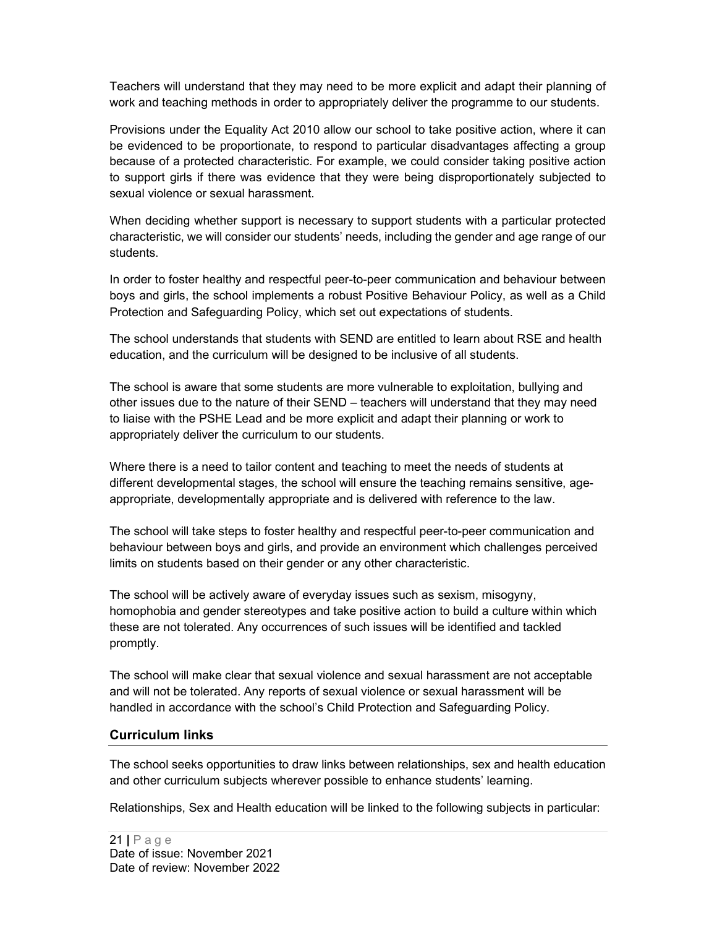Teachers will understand that they may need to be more explicit and adapt their planning of work and teaching methods in order to appropriately deliver the programme to our students.

Provisions under the Equality Act 2010 allow our school to take positive action, where it can be evidenced to be proportionate, to respond to particular disadvantages affecting a group because of a protected characteristic. For example, we could consider taking positive action to support girls if there was evidence that they were being disproportionately subjected to sexual violence or sexual harassment.

When deciding whether support is necessary to support students with a particular protected characteristic, we will consider our students' needs, including the gender and age range of our students.

In order to foster healthy and respectful peer-to-peer communication and behaviour between boys and girls, the school implements a robust Positive Behaviour Policy, as well as a Child Protection and Safeguarding Policy, which set out expectations of students.

The school understands that students with SEND are entitled to learn about RSE and health education, and the curriculum will be designed to be inclusive of all students.

The school is aware that some students are more vulnerable to exploitation, bullying and other issues due to the nature of their SEND – teachers will understand that they may need to liaise with the PSHE Lead and be more explicit and adapt their planning or work to appropriately deliver the curriculum to our students.

Where there is a need to tailor content and teaching to meet the needs of students at different developmental stages, the school will ensure the teaching remains sensitive, ageappropriate, developmentally appropriate and is delivered with reference to the law.

The school will take steps to foster healthy and respectful peer-to-peer communication and behaviour between boys and girls, and provide an environment which challenges perceived limits on students based on their gender or any other characteristic.

The school will be actively aware of everyday issues such as sexism, misogyny, homophobia and gender stereotypes and take positive action to build a culture within which these are not tolerated. Any occurrences of such issues will be identified and tackled promptly.

The school will make clear that sexual violence and sexual harassment are not acceptable and will not be tolerated. Any reports of sexual violence or sexual harassment will be handled in accordance with the school's Child Protection and Safeguarding Policy.

#### Curriculum links

The school seeks opportunities to draw links between relationships, sex and health education and other curriculum subjects wherever possible to enhance students' learning.

Relationships, Sex and Health education will be linked to the following subjects in particular: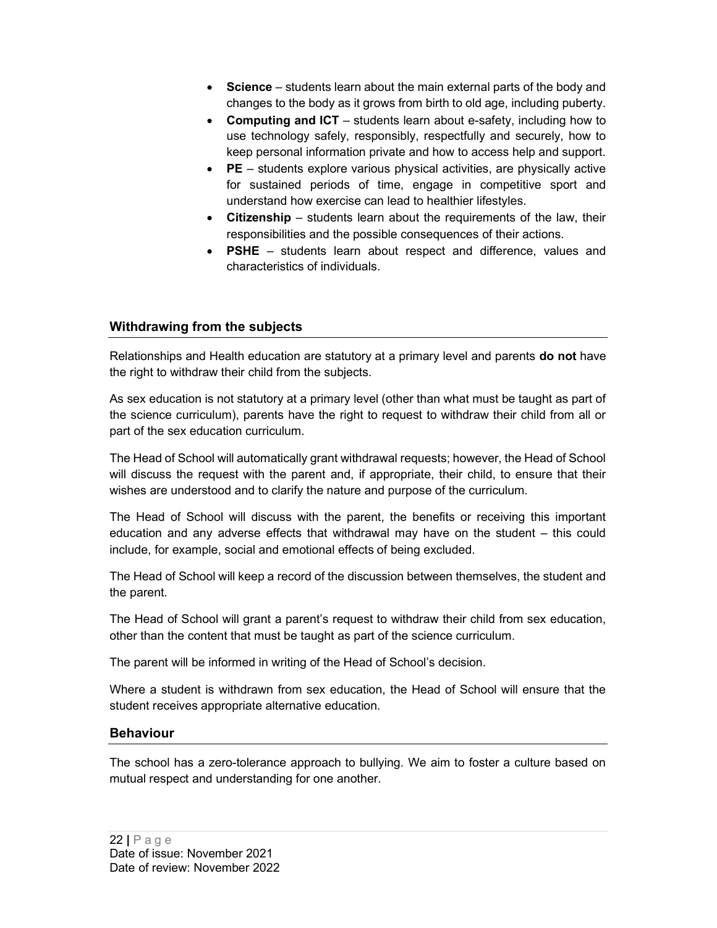- Science students learn about the main external parts of the body and changes to the body as it grows from birth to old age, including puberty.
- Computing and ICT students learn about e-safety, including how to use technology safely, responsibly, respectfully and securely, how to keep personal information private and how to access help and support.
- PE students explore various physical activities, are physically active for sustained periods of time, engage in competitive sport and understand how exercise can lead to healthier lifestyles.
- Citizenship students learn about the requirements of the law, their responsibilities and the possible consequences of their actions.
- PSHE students learn about respect and difference, values and characteristics of individuals.

## Withdrawing from the subjects

Relationships and Health education are statutory at a primary level and parents **do not** have the right to withdraw their child from the subjects.

As sex education is not statutory at a primary level (other than what must be taught as part of the science curriculum), parents have the right to request to withdraw their child from all or part of the sex education curriculum.

The Head of School will automatically grant withdrawal requests; however, the Head of School will discuss the request with the parent and, if appropriate, their child, to ensure that their wishes are understood and to clarify the nature and purpose of the curriculum.

The Head of School will discuss with the parent, the benefits or receiving this important education and any adverse effects that withdrawal may have on the student – this could include, for example, social and emotional effects of being excluded.

The Head of School will keep a record of the discussion between themselves, the student and the parent.

The Head of School will grant a parent's request to withdraw their child from sex education, other than the content that must be taught as part of the science curriculum.

The parent will be informed in writing of the Head of School's decision.

Where a student is withdrawn from sex education, the Head of School will ensure that the student receives appropriate alternative education.

#### Behaviour

The school has a zero-tolerance approach to bullying. We aim to foster a culture based on mutual respect and understanding for one another.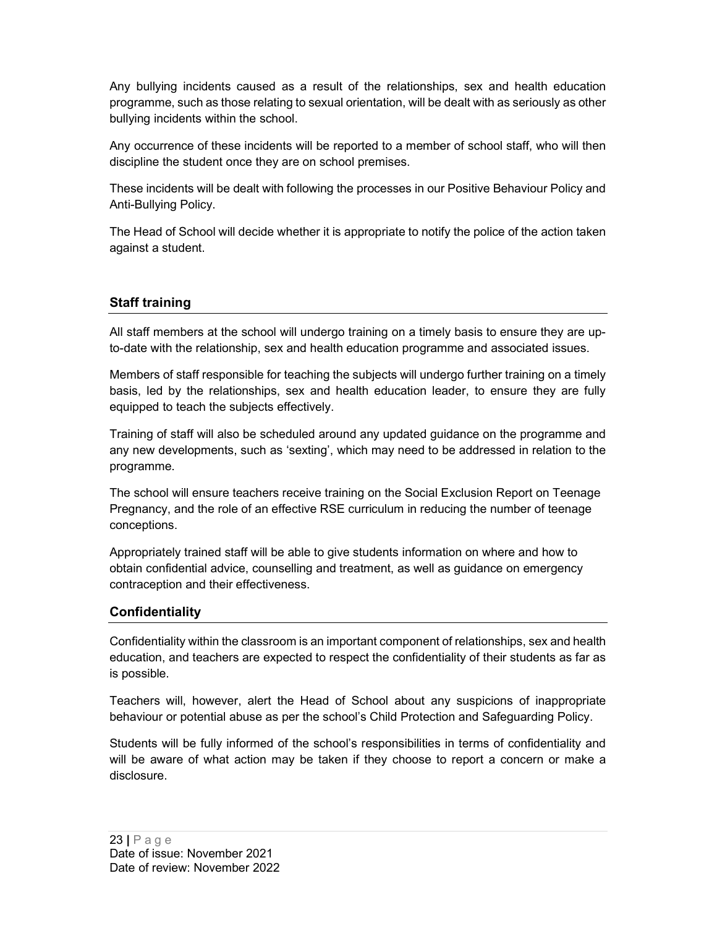Any bullying incidents caused as a result of the relationships, sex and health education programme, such as those relating to sexual orientation, will be dealt with as seriously as other bullying incidents within the school.

Any occurrence of these incidents will be reported to a member of school staff, who will then discipline the student once they are on school premises.

These incidents will be dealt with following the processes in our Positive Behaviour Policy and Anti-Bullying Policy.

The Head of School will decide whether it is appropriate to notify the police of the action taken against a student.

## Staff training

All staff members at the school will undergo training on a timely basis to ensure they are upto-date with the relationship, sex and health education programme and associated issues.

Members of staff responsible for teaching the subjects will undergo further training on a timely basis, led by the relationships, sex and health education leader, to ensure they are fully equipped to teach the subjects effectively.

Training of staff will also be scheduled around any updated guidance on the programme and any new developments, such as 'sexting', which may need to be addressed in relation to the programme.

The school will ensure teachers receive training on the Social Exclusion Report on Teenage Pregnancy, and the role of an effective RSE curriculum in reducing the number of teenage conceptions.

Appropriately trained staff will be able to give students information on where and how to obtain confidential advice, counselling and treatment, as well as guidance on emergency contraception and their effectiveness.

#### **Confidentiality**

Confidentiality within the classroom is an important component of relationships, sex and health education, and teachers are expected to respect the confidentiality of their students as far as is possible.

Teachers will, however, alert the Head of School about any suspicions of inappropriate behaviour or potential abuse as per the school's Child Protection and Safeguarding Policy.

Students will be fully informed of the school's responsibilities in terms of confidentiality and will be aware of what action may be taken if they choose to report a concern or make a disclosure.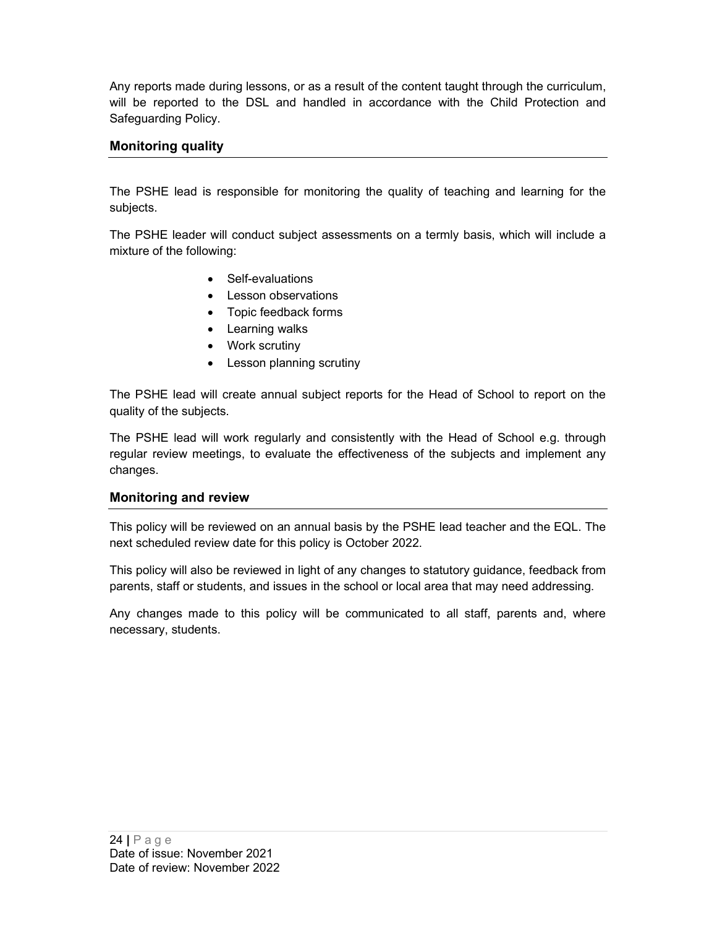Any reports made during lessons, or as a result of the content taught through the curriculum, will be reported to the DSL and handled in accordance with the Child Protection and Safeguarding Policy.

# Monitoring quality

The PSHE lead is responsible for monitoring the quality of teaching and learning for the subjects.

The PSHE leader will conduct subject assessments on a termly basis, which will include a mixture of the following:

- Self-evaluations
- Lesson observations
- Topic feedback forms
- Learning walks
- Work scrutiny
- Lesson planning scrutiny

The PSHE lead will create annual subject reports for the Head of School to report on the quality of the subjects.

The PSHE lead will work regularly and consistently with the Head of School e.g. through regular review meetings, to evaluate the effectiveness of the subjects and implement any changes.

#### Monitoring and review

This policy will be reviewed on an annual basis by the PSHE lead teacher and the EQL. The next scheduled review date for this policy is October 2022.

This policy will also be reviewed in light of any changes to statutory guidance, feedback from parents, staff or students, and issues in the school or local area that may need addressing.

Any changes made to this policy will be communicated to all staff, parents and, where necessary, students.